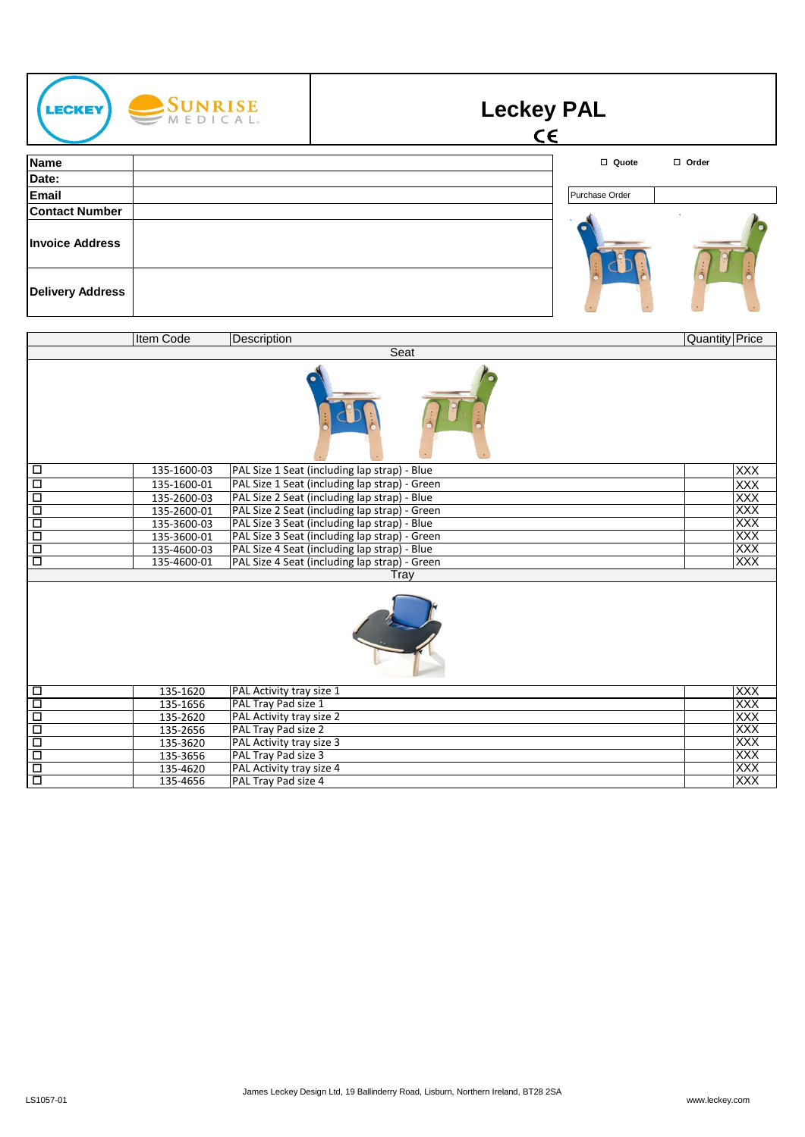| SUNRISE<br><b>LECKEY</b><br>MEDICAL.            | <b>Leckey PAL</b><br>$\epsilon$ |
|-------------------------------------------------|---------------------------------|
| Name                                            | □ Quote<br>□ Order              |
| Date:                                           |                                 |
| Email                                           | Purchase Order                  |
| <b>Contact Number</b><br><b>Invoice Address</b> |                                 |
| <b>Delivery Address</b>                         |                                 |

|        | Item Code   | Description                                   | <b>Quantity Price</b> |  |
|--------|-------------|-----------------------------------------------|-----------------------|--|
|        | Seat        |                                               |                       |  |
|        |             |                                               |                       |  |
| □      | 135-1600-03 | PAL Size 1 Seat (including lap strap) - Blue  | <b>XXX</b>            |  |
| $\Box$ | 135-1600-01 | PAL Size 1 Seat (including lap strap) - Green | <b>XXX</b>            |  |
| $\Box$ | 135-2600-03 | PAL Size 2 Seat (including lap strap) - Blue  | XXX                   |  |
| $\Box$ | 135-2600-01 | PAL Size 2 Seat (including lap strap) - Green | XXX                   |  |
| $\Box$ | 135-3600-03 | PAL Size 3 Seat (including lap strap) - Blue  | <b>XXX</b>            |  |
| $\Box$ | 135-3600-01 | PAL Size 3 Seat (including lap strap) - Green | XXX                   |  |
| $\Box$ | 135-4600-03 | PAL Size 4 Seat (including lap strap) - Blue  | XXX                   |  |
| □      | 135-4600-01 | PAL Size 4 Seat (including lap strap) - Green | XXX                   |  |
|        | Tray        |                                               |                       |  |
|        |             |                                               |                       |  |
| $\Box$ | 135-1620    | PAL Activity tray size 1                      | XXX                   |  |
| Ξ      | 135-1656    | PAL Tray Pad size 1                           | <b>XXX</b>            |  |
| $\Box$ | 135-2620    | PAL Activity tray size 2                      | XXX                   |  |
| $\Box$ | 135-2656    | PAL Tray Pad size 2                           | <b>XXX</b>            |  |
| Ξ      | 135-3620    | PAL Activity tray size 3                      | <b>XXX</b>            |  |
| Ξ      | 135-3656    | PAL Tray Pad size 3                           | XXX                   |  |
| Ξ      | 135-4620    | PAL Activity tray size 4                      | XXX                   |  |
| $\Box$ | 135-4656    | PAL Tray Pad size 4                           | <b>XXX</b>            |  |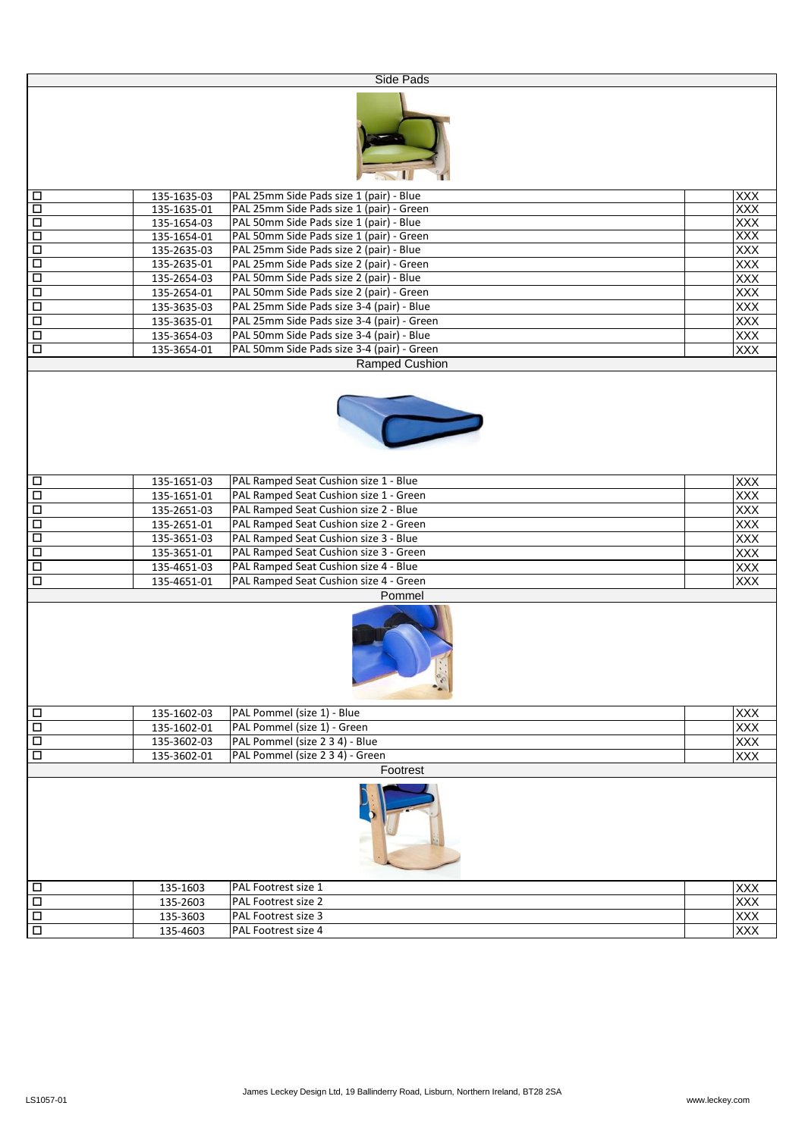|                      |                                                        | Side Pads                                                         |                   |  |  |
|----------------------|--------------------------------------------------------|-------------------------------------------------------------------|-------------------|--|--|
|                      |                                                        |                                                                   |                   |  |  |
| $\Box$               | 135-1635-03                                            | PAL 25mm Side Pads size 1 (pair) - Blue                           | XXX               |  |  |
| Ō                    | 135-1635-01                                            | PAL 25mm Side Pads size 1 (pair) - Green                          | <b>XXX</b><br>XXX |  |  |
| $\overline{\Box}$    | PAL 50mm Side Pads size 1 (pair) - Blue<br>135-1654-03 |                                                                   |                   |  |  |
| 몸                    | 135-1654-01                                            | PAL 50mm Side Pads size 1 (pair) - Green                          | XXX               |  |  |
|                      | 135-2635-03                                            | PAL 25mm Side Pads size 2 (pair) - Blue                           | XXX               |  |  |
| $\overline{\square}$ | 135-2635-01                                            | PAL 25mm Side Pads size 2 (pair) - Green                          | XXX               |  |  |
| $\Box$               | 135-2654-03                                            | PAL 50mm Side Pads size 2 (pair) - Blue                           | $\overline{XXX}$  |  |  |
| $\overline{\square}$ | 135-2654-01                                            | PAL 50mm Side Pads size 2 (pair) - Green                          | XXX               |  |  |
| $\Box$               | 135-3635-03                                            | PAL 25mm Side Pads size 3-4 (pair) - Blue                         | XXX               |  |  |
| $\Box$               | 135-3635-01                                            | PAL 25mm Side Pads size 3-4 (pair) - Green                        | XXX               |  |  |
| Ξ                    | 135-3654-03                                            | PAL 50mm Side Pads size 3-4 (pair) - Blue                         | XXX               |  |  |
| $\Box$               | 135-3654-01                                            | PAL 50mm Side Pads size 3-4 (pair) - Green                        | <b>XXX</b>        |  |  |
|                      |                                                        | Ramped Cushion                                                    |                   |  |  |
|                      |                                                        |                                                                   |                   |  |  |
| $\Box$               | 135-1651-03                                            | PAL Ramped Seat Cushion size 1 - Blue                             | <b>XXX</b>        |  |  |
| $\Box$               | 135-1651-01                                            | PAL Ramped Seat Cushion size 1 - Green                            | <b>XXX</b>        |  |  |
| $\Box$               | 135-2651-03                                            | PAL Ramped Seat Cushion size 2 - Blue                             | XXX               |  |  |
| $\Box$               | 135-2651-01                                            | PAL Ramped Seat Cushion size 2 - Green                            | <b>XXX</b>        |  |  |
| $\Box$               | 135-3651-03                                            | PAL Ramped Seat Cushion size 3 - Blue                             | XXX               |  |  |
| d                    | 135-3651-01                                            | PAL Ramped Seat Cushion size 3 - Green                            | XXX               |  |  |
| Ξ                    | 135-4651-03                                            | PAL Ramped Seat Cushion size 4 - Blue                             | XXX               |  |  |
| $\Box$               | 135-4651-01                                            | PAL Ramped Seat Cushion size 4 - Green                            | XXX               |  |  |
|                      |                                                        | Pommel                                                            |                   |  |  |
|                      |                                                        | $\begin{pmatrix} \alpha & \alpha \\ \alpha & \beta \end{pmatrix}$ |                   |  |  |
| $\Box$               | 135-1602-03                                            | PAL Pommel (size 1) - Blue                                        | XXX               |  |  |
| $\Box$               | 135-1602-01                                            | PAL Pommel (size 1) - Green                                       | <b>XXX</b>        |  |  |
| $\Box$               | 135-3602-03                                            | PAL Pommel (size 2 3 4) - Blue                                    | <b>XXX</b>        |  |  |
| $\overline{\square}$ | 135-3602-01                                            | PAL Pommel (size 2 3 4) - Green                                   |                   |  |  |
| $\Box$               | 135-1603                                               | Footrest<br>PAL Footrest size 1                                   | XXX               |  |  |
| Π                    | 135-2603                                               | PAL Footrest size 2                                               |                   |  |  |
| Ξ                    | 135-3603                                               | PAL Footrest size 3                                               | XXX<br>XXX        |  |  |
| $\overline{\square}$ | PAL Footrest size 4<br>135-4603                        |                                                                   |                   |  |  |
|                      |                                                        |                                                                   | XXX               |  |  |